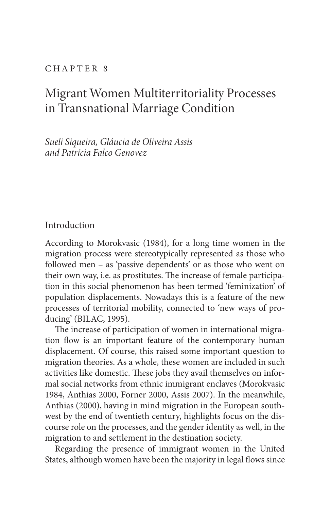### CHAPTER 8

# Migrant Women Multiterritoriality Processes in Transnational Marriage Condition

*Sueli Siqueira, Gláucia de Oliveira Assis and Patrícia Falco Genovez*

## Introduction

According to Morokvasic (1984), for a long time women in the migration process were stereotypically represented as those who followed men – as 'passive dependents' or as those who went on their own way, i.e. as prostitutes. The increase of female participation in this social phenomenon has been termed 'feminization' of population displacements. Nowadays this is a feature of the new processes of territorial mobility, connected to 'new ways of producing' (BILAC, 1995).

The increase of participation of women in international migration flow is an important feature of the contemporary human displacement. Of course, this raised some important question to migration theories. As a whole, these women are included in such activities like domestic. These jobs they avail themselves on informal social networks from ethnic immigrant enclaves (Morokvasic 1984, Anthias 2000, Forner 2000, Assis 2007). In the meanwhile, Anthias (2000), having in mind migration in the European southwest by the end of twentieth century, highlights focus on the discourse role on the processes, and the gender identity as well, in the migration to and settlement in the destination society.

Regarding the presence of immigrant women in the United States, although women have been the majority in legal flows since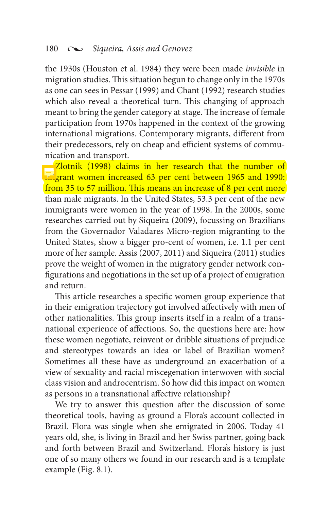the 1930s (Houston et al. 1984) they were been made *invisible* in migration studies. This situation begun to change only in the 1970s as one can sees in Pessar (1999) and Chant (1992) research studies which also reveal a theoretical turn. This changing of approach meant to bring the gender category at stage. The increase of female participation from 1970s happened in the context of the growing international migrations. Contemporary migrants, different from their predecessors, rely on cheap and efficient systems of communication and transport.

**Zlotnik (1998) claims in her research that the number of migrant women increased 63 per cent between 1965 and 1990:** from 35 to 57 million. This means an increase of 8 per cent more than male migrants. In the United States, 53.3 per cent of the new immigrants were women in the year of 1998. In the 2000s, some researches carried out by Siqueira (2009), focussing on Brazilians from the Governador Valadares Micro-region migranting to the United States, show a bigger pro-cent of women, i.e. 1.1 per cent more of her sample. Assis (2007, 2011) and Siqueira (2011) studies prove the weight of women in the migratory gender network configurations and negotiations in the set up of a project of emigration and return.

This article researches a specific women group experience that in their emigration trajectory got involved affectively with men of other nationalities. This group inserts itself in a realm of a transnational experience of affections. So, the questions here are: how these women negotiate, reinvent or dribble situations of prejudice and stereotypes towards an idea or label of Brazilian women? Sometimes all these have as underground an exacerbation of a view of sexuality and racial miscegenation interwoven with social class vision and androcentrism. So how did this impact on women as persons in a transnational affective relationship?

We try to answer this question after the discussion of some theoretical tools, having as ground a Flora's account collected in Brazil. Flora was single when she emigrated in 2006. Today 41 years old, she, is living in Brazil and her Swiss partner, going back and forth between Brazil and Switzerland. Flora's history is just one of so many others we found in our research and is a template example (Fig. 8.1).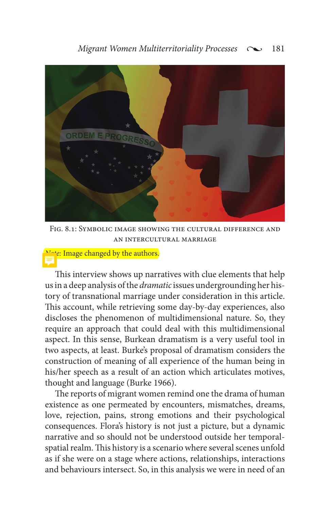

fig. 8.1: Symbolic image showing the cultural difference and an intercultural marriage

te: Image changed by the authors.

This interview shows up narratives with clue elements that help us in a deep analysis of the *dramatic* issues undergrounding her history of transnational marriage under consideration in this article. This account, while retrieving some day-by-day experiences, also discloses the phenomenon of multidimensional nature. So, they require an approach that could deal with this multidimensional aspect. In this sense, burkean dramatism is a very useful tool in two aspects, at least. burke's proposal of dramatism considers the construction of meaning of all experience of the human being in his/her speech as a result of an action which articulates motives, thought and language (Burke 1966).

The reports of migrant women remind one the drama of human existence as one permeated by encounters, mismatches, dreams, love, rejection, pains, strong emotions and their psychological consequences. flora's history is not just a picture, but a dynamic narrative and so should not be understood outside her temporalspatial realm. This history is a scenario where several scenes unfold as if she were on a stage where actions, relationships, interactions and behaviours intersect. So, in this analysis we were in need of an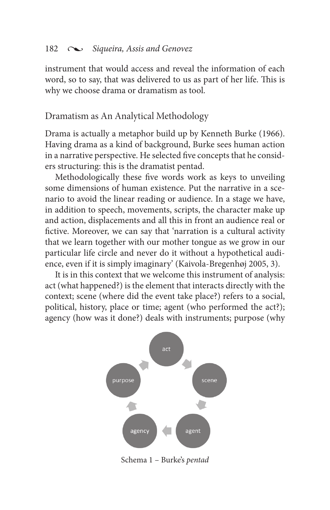#### 182 • *Siqueira, Assis and Genovez*

instrument that would access and reveal the information of each word, so to say, that was delivered to us as part of her life. This is why we choose drama or dramatism as tool.

#### Dramatism as An Analytical Methodology

Drama is actually a metaphor build up by Kenneth Burke (1966). Having drama as a kind of background, Burke sees human action in a narrative perspective. He selected five concepts that he considers structuring: this is the dramatist pentad.

Methodologically these five words work as keys to unveiling some dimensions of human existence. Put the narrative in a scenario to avoid the linear reading or audience. In a stage we have, in addition to speech, movements, scripts, the character make up and action, displacements and all this in front an audience real or fictive. Moreover, we can say that 'narration is a cultural activity that we learn together with our mother tongue as we grow in our particular life circle and never do it without a hypothetical audience, even if it is simply imaginary' (Kaivola-Bregenhøj 2005, 3).

It is in this context that we welcome this instrument of analysis: act (what happened?) is the element that interacts directly with the context; scene (where did the event take place?) refers to a social, political, history, place or time; agent (who performed the act?); agency (how was it done?) deals with instruments; purpose (why



Schema 1 – Burke's *pentad*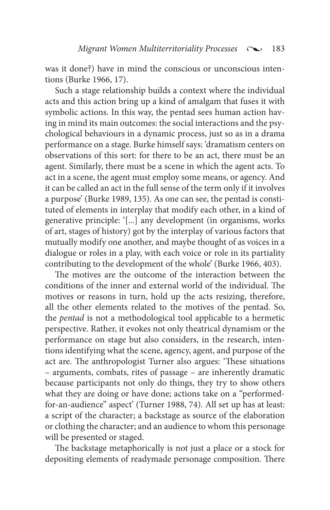was it done?) have in mind the conscious or unconscious intentions (Burke 1966, 17).

Such a stage relationship builds a context where the individual acts and this action bring up a kind of amalgam that fuses it with symbolic actions. In this way, the pentad sees human action having in mind its main outcomes: the social interactions and the psychological behaviours in a dynamic process, just so as in a drama performance on a stage. Burke himself says: 'dramatism centers on observations of this sort: for there to be an act, there must be an agent. Similarly, there must be a scene in which the agent acts. To act in a scene, the agent must employ some means, or agency. And it can be called an act in the full sense of the term only if it involves a purpose' (Burke 1989, 135). As one can see, the pentad is constituted of elements in interplay that modify each other, in a kind of generative principle: '[...] any development (in organisms, works of art, stages of history) got by the interplay of various factors that mutually modify one another, and maybe thought of as voices in a dialogue or roles in a play, with each voice or role in its partiality contributing to the development of the whole' (Burke 1966, 403).

The motives are the outcome of the interaction between the conditions of the inner and external world of the individual. The motives or reasons in turn, hold up the acts resizing, therefore, all the other elements related to the motives of the pentad. So, the *pentad* is not a methodological tool applicable to a hermetic perspective. Rather, it evokes not only theatrical dynamism or the performance on stage but also considers, in the research, intentions identifying what the scene, agency, agent, and purpose of the act are. The anthropologist Turner also argues: 'These situations – arguments, combats, rites of passage – are inherently dramatic because participants not only do things, they try to show others what they are doing or have done; actions take on a "performedfor-an-audience" aspect' (Turner 1988, 74). All set up has at least: a script of the character; a backstage as source of the elaboration or clothing the character; and an audience to whom this personage will be presented or staged.

The backstage metaphorically is not just a place or a stock for depositing elements of readymade personage composition. There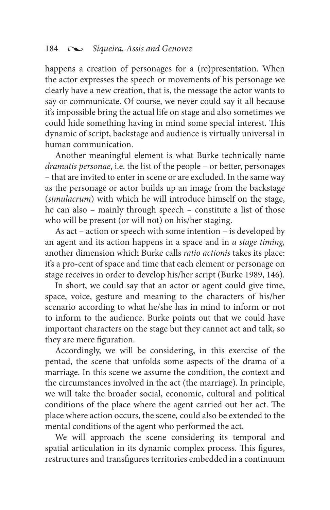happens a creation of personages for a (re)presentation. When the actor expresses the speech or movements of his personage we clearly have a new creation, that is, the message the actor wants to say or communicate. Of course, we never could say it all because it's impossible bring the actual life on stage and also sometimes we could hide something having in mind some special interest. This dynamic of script, backstage and audience is virtually universal in human communication.

Another meaningful element is what Burke technically name *dramatis personae*, i.e. the list of the people – or better, personages – that are invited to enter in scene or are excluded. In the same way as the personage or actor builds up an image from the backstage (*simulacrum*) with which he will introduce himself on the stage, he can also – mainly through speech – constitute a list of those who will be present (or will not) on his/her staging.

As act – action or speech with some intention – is developed by an agent and its action happens in a space and in *a stage timing,* another dimension which Burke calls *ratio actionis* takes its place: it's a pro-cent of space and time that each element or personage on stage receives in order to develop his/her script (Burke 1989, 146)*.* 

In short, we could say that an actor or agent could give time, space, voice, gesture and meaning to the characters of his/her scenario according to what he/she has in mind to inform or not to inform to the audience. Burke points out that we could have important characters on the stage but they cannot act and talk, so they are mere figuration.

Accordingly, we will be considering, in this exercise of the pentad, the scene that unfolds some aspects of the drama of a marriage. In this scene we assume the condition, the context and the circumstances involved in the act (the marriage). In principle, we will take the broader social, economic, cultural and political conditions of the place where the agent carried out her act. The place where action occurs, the scene*,* could also be extended to the mental conditions of the agent who performed the act.

We will approach the scene considering its temporal and spatial articulation in its dynamic complex process. This figures, restructures and transfigures territories embedded in a continuum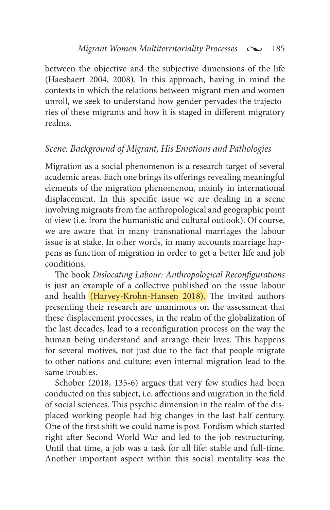between the objective and the subjective dimensions of the life (Haesbaert 2004, 2008). In this approach, having in mind the contexts in which the relations between migrant men and women unroll, we seek to understand how gender pervades the trajectories of these migrants and how it is staged in different migratory realms.

# *Scene: Background of Migrant, His Emotions and Pathologies*

Migration as a social phenomenon is a research target of several academic areas. Each one brings its offerings revealing meaningful elements of the migration phenomenon, mainly in international displacement. In this specific issue we are dealing in a scene involving migrants from the anthropological and geographic point of view (i.e. from the humanistic and cultural outlook). Of course, we are aware that in many transnational marriages the labour issue is at stake. In other words, in many accounts marriage happens as function of migration in order to get a better life and job conditions.

The book *Dislocating Labour: Anthropological Reconfigurations*  is just an example of a collective published on the issue labour and health (Harvey-Krohn-Hansen 2018). The invited authors presenting their research are unanimous on the assessment that these displacement processes, in the realm of the globalization of the last decades, lead to a reconfiguration process on the way the human being understand and arrange their lives. This happens for several motives, not just due to the fact that people migrate to other nations and culture; even internal migration lead to the same troubles.

Schober (2018, 135-6) argues that very few studies had been conducted on this subject, i.e. affections and migration in the field of social sciences. This psychic dimension in the realm of the displaced working people had big changes in the last half century. One of the first shift we could name is post-Fordism which started right after Second World War and led to the job restructuring. Until that time, a job was a task for all life: stable and full-time. Another important aspect within this social mentality was the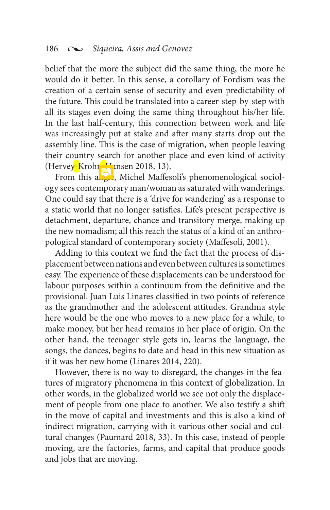belief that the more the subject did the same thing, the more he would do it better. In this sense, a corollary of Fordism was the creation of a certain sense of security and even predictability of the future. This could be translated into a career-step-by-step with all its stages even doing the same thing throughout his/her life. In the last half-century, this connection between work and life was increasingly put at stake and after many starts drop out the assembly line. This is the case of migration, when people leaving their country search for another place and even kind of activity (Hervey-Krohn-Hansen 2018, 13).

From this angle, Michel Maffesoli's phenomenological sociology sees contemporary man/woman as saturated with wanderings. One could say that there is a 'drive for wandering' as a response to a static world that no longer satisfies. Life's present perspective is detachment, departure, chance and transitory merge, making up the new nomadism; all this reach the status of a kind of an anthropological standard of contemporary society (Maffesoli, 2001).

Adding to this context we find the fact that the process of displacement between nations and even between cultures is sometimes easy. The experience of these displacements can be understood for labour purposes within a continuum from the definitive and the provisional. Juan Luis Linares classified in two points of reference as the grandmother and the adolescent attitudes. Grandma style here would be the one who moves to a new place for a while, to make money, but her head remains in her place of origin. On the other hand, the teenager style gets in, learns the language, the songs, the dances, begins to date and head in this new situation as if it was her new home (Linares 2014, 220).

However, there is no way to disregard, the changes in the features of migratory phenomena in this context of globalization. In other words, in the globalized world we see not only the displacement of people from one place to another. We also testify a shift in the move of capital and investments and this is also a kind of indirect migration, carrying with it various other social and cultural changes (Paumard 2018, 33). In this case, instead of people moving, are the factories, farms, and capital that produce goods and jobs that are moving.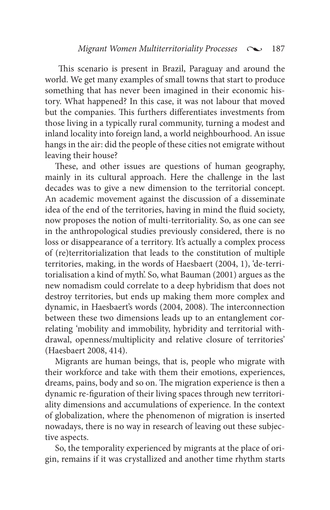This scenario is present in Brazil, Paraguay and around the world. We get many examples of small towns that start to produce something that has never been imagined in their economic history. What happened? In this case, it was not labour that moved but the companies. This furthers differentiates investments from those living in a typically rural community, turning a modest and inland locality into foreign land, a world neighbourhood. An issue hangs in the air: did the people of these cities not emigrate without leaving their house?

These, and other issues are questions of human geography, mainly in its cultural approach. Here the challenge in the last decades was to give a new dimension to the territorial concept. An academic movement against the discussion of a disseminate idea of the end of the territories, having in mind the fluid society, now proposes the notion of multi-territoriality. So, as one can see in the anthropological studies previously considered, there is no loss or disappearance of a territory. It's actually a complex process of (re)territorialization that leads to the constitution of multiple territories, making, in the words of Haesbaert (2004, 1), 'de-territorialisation a kind of myth'. So, what Bauman (2001) argues as the new nomadism could correlate to a deep hybridism that does not destroy territories, but ends up making them more complex and dynamic, in Haesbaert's words (2004, 2008). The interconnection between these two dimensions leads up to an entanglement correlating 'mobility and immobility, hybridity and territorial withdrawal, openness/multiplicity and relative closure of territories' (Haesbaert 2008, 414).

Migrants are human beings, that is, people who migrate with their workforce and take with them their emotions, experiences, dreams, pains, body and so on. The migration experience is then a dynamic re-figuration of their living spaces through new territoriality dimensions and accumulations of experience. In the context of globalization, where the phenomenon of migration is inserted nowadays, there is no way in research of leaving out these subjective aspects.

So, the temporality experienced by migrants at the place of origin, remains if it was crystallized and another time rhythm starts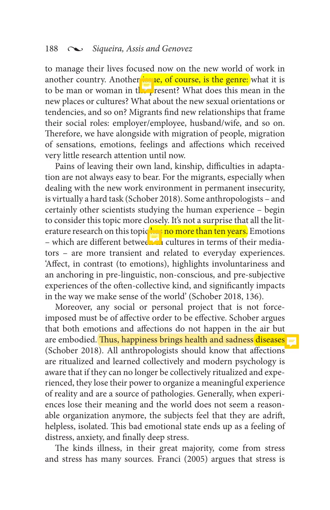to manage their lives focused now on the new world of work in another country. Another is, all course, is the genre: what it is to be man or woman in the present? What does this mean in the new places or cultures? What about the new sexual orientations or tendencies, and so on? Migrants find new relationships that frame their social roles: employer/employee, husband/wife, and so on. Therefore, we have alongside with migration of people, migration of sensations, emotions, feelings and affections which received very little research attention until now.

Pains of leaving their own land, kinship, difficulties in adaptation are not always easy to bear. For the migrants, especially when dealing with the new work environment in permanent insecurity, is virtually a hard task (Schober 2018). Some anthropologists – and certainly other scientists studying the human experience – begin to consider this topic more closely. It's not a surprise that all the literature research on this topic **keeps** no more than ten years. Emotions – which are different between in cultures in terms of their mediators – are more transient and related to everyday experiences. 'Affect, in contrast (to emotions), highlights involuntariness and an anchoring in pre-linguistic, non-conscious, and pre-subjective experiences of the often-collective kind, and significantly impacts in the way we make sense of the world' (Schober 2018, 136).

Moreover, any social or personal project that is not forceimposed must be of affective order to be effective. Schober argues that both emotions and affections do not happen in the air but are embodied. Thus, happiness brings health and sadness diseases  $=$ (Schober 2018). All anthropologists should know that affections are ritualized and learned collectively and modern psychology is aware that if they can no longer be collectively ritualized and experienced, they lose their power to organize a meaningful experience of reality and are a source of pathologies. Generally, when experiences lose their meaning and the world does not seem a reasonable organization anymore, the subjects feel that they are adrift, helpless, isolated. This bad emotional state ends up as a feeling of distress, anxiety, and finally deep stress.

The kinds illness, in their great majority, come from stress and stress has many sources*.* Franci (2005) argues that stress is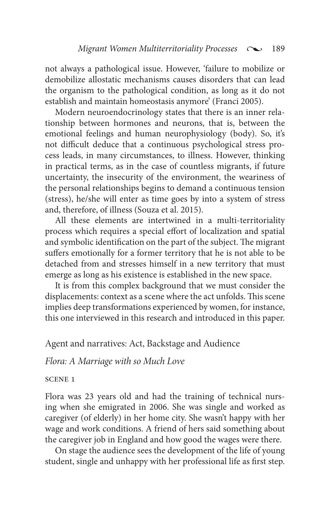not always a pathological issue. However, 'failure to mobilize or demobilize allostatic mechanisms causes disorders that can lead the organism to the pathological condition, as long as it do not establish and maintain homeostasis anymore' (Franci 2005).

Modern neuroendocrinology states that there is an inner relationship between hormones and neurons, that is, between the emotional feelings and human neurophysiology (body). So, it's not difficult deduce that a continuous psychological stress process leads, in many circumstances, to illness. However, thinking in practical terms, as in the case of countless migrants, if future uncertainty, the insecurity of the environment, the weariness of the personal relationships begins to demand a continuous tension (stress), he/she will enter as time goes by into a system of stress and, therefore, of illness (Souza et al. 2015).

All these elements are intertwined in a multi-territoriality process which requires a special effort of localization and spatial and symbolic identification on the part of the subject. The migrant suffers emotionally for a former territory that he is not able to be detached from and stresses himself in a new territory that must emerge as long as his existence is established in the new space.

It is from this complex background that we must consider the displacements: context as a scene where the act unfolds. This scene implies deep transformations experienced by women, for instance, this one interviewed in this research and introduced in this paper.

Agent and narratives: Act, Backstage and Audience

*Flora: A Marriage with so Much Love*

#### scene 1

Flora was 23 years old and had the training of technical nursing when she emigrated in 2006. She was single and worked as caregiver (of elderly) in her home city. She wasn't happy with her wage and work conditions. A friend of hers said something about the caregiver job in England and how good the wages were there.

On stage the audience sees the development of the life of young student, single and unhappy with her professional life as first step.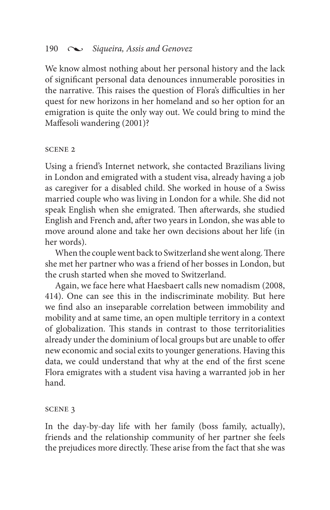We know almost nothing about her personal history and the lack of significant personal data denounces innumerable porosities in the narrative. This raises the question of Flora's difficulties in her quest for new horizons in her homeland and so her option for an emigration is quite the only way out. We could bring to mind the Maffesoli wandering (2001)?

#### scene 2

Using a friend's Internet network, she contacted Brazilians living in London and emigrated with a student visa, already having a job as caregiver for a disabled child. She worked in house of a Swiss married couple who was living in London for a while. She did not speak English when she emigrated. Then afterwards, she studied English and French and, after two years in London, she was able to move around alone and take her own decisions about her life (in her words).

When the couple went back to Switzerland she went along. There she met her partner who was a friend of her bosses in London, but the crush started when she moved to Switzerland.

Again, we face here what Haesbaert calls new nomadism (2008, 414). One can see this in the indiscriminate mobility. But here we find also an inseparable correlation between immobility and mobility and at same time, an open multiple territory in a context of globalization. This stands in contrast to those territorialities already under the dominium of local groups but are unable to offer new economic and social exits to younger generations. Having this data, we could understand that why at the end of the first scene Flora emigrates with a student visa having a warranted job in her hand.

#### scene 3

In the day-by-day life with her family (boss family, actually), friends and the relationship community of her partner she feels the prejudices more directly. These arise from the fact that she was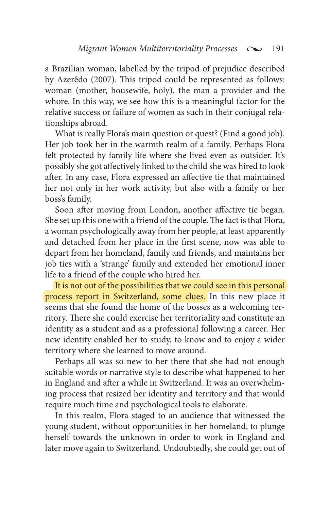a Brazilian woman, labelled by the tripod of prejudice described by Azerêdo (2007). This tripod could be represented as follows: woman (mother, housewife, holy), the man a provider and the whore. In this way, we see how this is a meaningful factor for the relative success or failure of women as such in their conjugal relationships abroad.

What is really Flora's main question or quest? (Find a good job). Her job took her in the warmth realm of a family. Perhaps Flora felt protected by family life where she lived even as outsider. It's possibly she got affectively linked to the child she was hired to look after. In any case, Flora expressed an affective tie that maintained her not only in her work activity, but also with a family or her boss's family.

Soon after moving from London, another affective tie began. She set up this one with a friend of the couple. The fact is that Flora, a woman psychologically away from her people, at least apparently and detached from her place in the first scene, now was able to depart from her homeland, family and friends, and maintains her job ties with a 'strange' family and extended her emotional inner life to a friend of the couple who hired her.

It is not out of the possibilities that we could see in this personal process report in Switzerland, some clues. In this new place it seems that she found the home of the bosses as a welcoming territory. There she could exercise her territoriality and constitute an identity as a student and as a professional following a career. Her new identity enabled her to study, to know and to enjoy a wider territory where she learned to move around.

Perhaps all was so new to her there that she had not enough suitable words or narrative style to describe what happened to her in England and after a while in Switzerland. It was an overwhelming process that resized her identity and territory and that would require much time and psychological tools to elaborate.

In this realm, Flora staged to an audience that witnessed the young student, without opportunities in her homeland, to plunge herself towards the unknown in order to work in England and later move again to Switzerland. Undoubtedly, she could get out of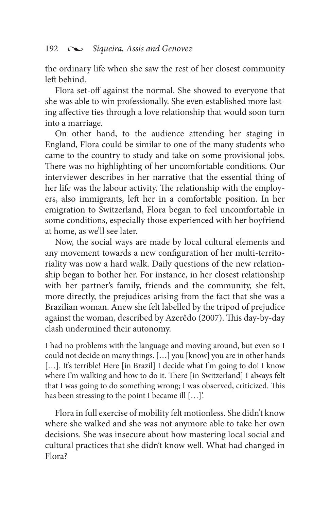the ordinary life when she saw the rest of her closest community left behind.

Flora set-off against the normal. She showed to everyone that she was able to win professionally. She even established more lasting affective ties through a love relationship that would soon turn into a marriage.

On other hand, to the audience attending her staging in England, Flora could be similar to one of the many students who came to the country to study and take on some provisional jobs. There was no highlighting of her uncomfortable conditions. Our interviewer describes in her narrative that the essential thing of her life was the labour activity. The relationship with the employers, also immigrants, left her in a comfortable position. In her emigration to Switzerland, Flora began to feel uncomfortable in some conditions, especially those experienced with her boyfriend at home, as we'll see later.

Now, the social ways are made by local cultural elements and any movement towards a new configuration of her multi-territoriality was now a hard walk. Daily questions of the new relationship began to bother her. For instance, in her closest relationship with her partner's family, friends and the community, she felt, more directly, the prejudices arising from the fact that she was a Brazilian woman. Anew she felt labelled by the tripod of prejudice against the woman, described by Azerêdo (2007). This day-by-day clash undermined their autonomy.

I had no problems with the language and moving around, but even so I could not decide on many things. […] you [know] you are in other hands [...]. It's terrible! Here [in Brazil] I decide what I'm going to do! I know where I'm walking and how to do it. There [in Switzerland] I always felt that I was going to do something wrong; I was observed, criticized. This has been stressing to the point I became ill […]'.

Flora in full exercise of mobility felt motionless. She didn't know where she walked and she was not anymore able to take her own decisions. She was insecure about how mastering local social and cultural practices that she didn't know well. What had changed in Flora?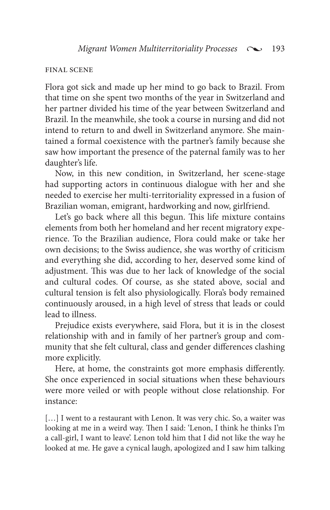#### final scene

Flora got sick and made up her mind to go back to Brazil. From that time on she spent two months of the year in Switzerland and her partner divided his time of the year between Switzerland and Brazil. In the meanwhile, she took a course in nursing and did not intend to return to and dwell in Switzerland anymore. She maintained a formal coexistence with the partner's family because she saw how important the presence of the paternal family was to her daughter's life.

Now, in this new condition, in Switzerland, her scene-stage had supporting actors in continuous dialogue with her and she needed to exercise her multi-territoriality expressed in a fusion of Brazilian woman, emigrant, hardworking and now, girlfriend.

Let's go back where all this begun. This life mixture contains elements from both her homeland and her recent migratory experience. To the Brazilian audience, Flora could make or take her own decisions; to the Swiss audience, she was worthy of criticism and everything she did, according to her, deserved some kind of adjustment. This was due to her lack of knowledge of the social and cultural codes. Of course, as she stated above, social and cultural tension is felt also physiologically. Flora's body remained continuously aroused, in a high level of stress that leads or could lead to illness.

Prejudice exists everywhere, said Flora, but it is in the closest relationship with and in family of her partner's group and community that she felt cultural, class and gender differences clashing more explicitly.

Here, at home, the constraints got more emphasis differently. She once experienced in social situations when these behaviours were more veiled or with people without close relationship. For instance:

[...] I went to a restaurant with Lenon. It was very chic. So, a waiter was looking at me in a weird way. Then I said: 'Lenon, I think he thinks I'm a call-girl, I want to leave'. Lenon told him that I did not like the way he looked at me. He gave a cynical laugh, apologized and I saw him talking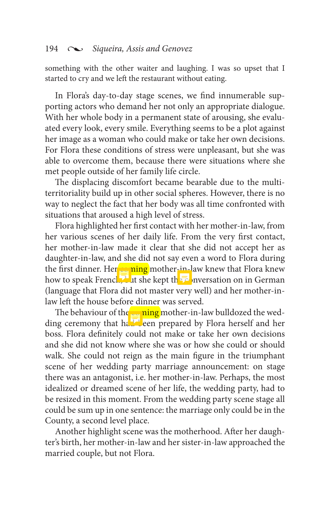something with the other waiter and laughing. I was so upset that I started to cry and we left the restaurant without eating.

In Flora's day-to-day stage scenes, we find innumerable supporting actors who demand her not only an appropriate dialogue. With her whole body in a permanent state of arousing, she evaluated every look, every smile. Everything seems to be a plot against her image as a woman who could make or take her own decisions. For Flora these conditions of stress were unpleasant, but she was able to overcome them, because there were situations where she met people outside of her family life circle.

The displacing discomfort became bearable due to the multiterritoriality build up in other social spheres. However, there is no way to neglect the fact that her body was all time confronted with situations that aroused a high level of stress.

Flora highlighted her first contact with her mother-in-law, from her various scenes of her daily life. From the very first contact, her mother-in-law made it clear that she did not accept her as daughter-in-law, and she did not say even a word to Flora during the first dinner. Her coming mother-in-law knew that Flora knew how to speak French, but she kept the reversation on in German (language that Flora did not master very well) and her mother-inlaw left the house before dinner was served.

The behaviour of the  $\sim$  ning mother-in-law bulldozed the wedding ceremony that hall een prepared by Flora herself and her boss. Flora definitely could not make or take her own decisions and she did not know where she was or how she could or should walk. She could not reign as the main figure in the triumphant scene of her wedding party marriage announcement: on stage there was an antagonist, i.e. her mother-in-law. Perhaps, the most idealized or dreamed scene of her life, the wedding party, had to be resized in this moment. From the wedding party scene stage all could be sum up in one sentence: the marriage only could be in the County, a second level place.

Another highlight scene was the motherhood. After her daughter's birth, her mother-in-law and her sister-in-law approached the married couple, but not Flora.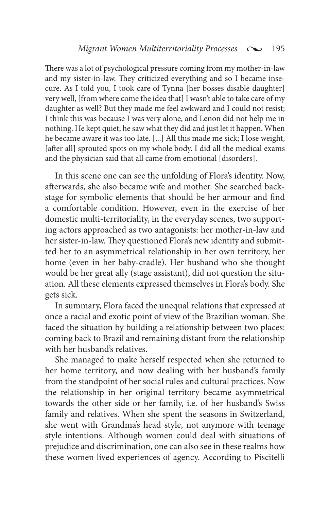There was a lot of psychological pressure coming from my mother-in-law and my sister-in-law. They criticized everything and so I became insecure. As I told you, I took care of Tynna [her bosses disable daughter] very well, [from where come the idea that] I wasn't able to take care of my daughter as well? But they made me feel awkward and I could not resist; I think this was because I was very alone, and Lenon did not help me in nothing. He kept quiet; he saw what they did and just let it happen. When he became aware it was too late. [...] All this made me sick; I lose weight, [after all] sprouted spots on my whole body. I did all the medical exams and the physician said that all came from emotional [disorders].

In this scene one can see the unfolding of Flora's identity. Now, afterwards, she also became wife and mother. She searched backstage for symbolic elements that should be her armour and find a comfortable condition. However, even in the exercise of her domestic multi-territoriality, in the everyday scenes, two supporting actors approached as two antagonists: her mother-in-law and her sister-in-law. They questioned Flora's new identity and submitted her to an asymmetrical relationship in her own territory, her home (even in her baby-cradle). Her husband who she thought would be her great ally (stage assistant), did not question the situation. All these elements expressed themselves in Flora's body. She gets sick.

In summary, Flora faced the unequal relations that expressed at once a racial and exotic point of view of the Brazilian woman. She faced the situation by building a relationship between two places: coming back to Brazil and remaining distant from the relationship with her husband's relatives.

She managed to make herself respected when she returned to her home territory, and now dealing with her husband's family from the standpoint of her social rules and cultural practices. Now the relationship in her original territory became asymmetrical towards the other side or her family, i.e. of her husband's Swiss family and relatives. When she spent the seasons in Switzerland, she went with Grandma's head style, not anymore with teenage style intentions. Although women could deal with situations of prejudice and discrimination, one can also see in these realms how these women lived experiences of agency. According to Piscitelli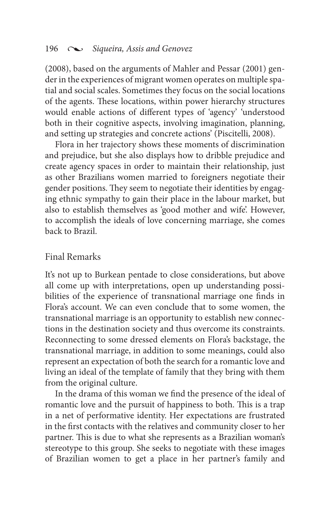(2008), based on the arguments of Mahler and Pessar (2001) gender in the experiences of migrant women operates on multiple spatial and social scales. Sometimes they focus on the social locations of the agents. These locations, within power hierarchy structures would enable actions of different types of 'agency' 'understood both in their cognitive aspects, involving imagination, planning, and setting up strategies and concrete actions' (Piscitelli, 2008).

Flora in her trajectory shows these moments of discrimination and prejudice, but she also displays how to dribble prejudice and create agency spaces in order to maintain their relationship, just as other Brazilians women married to foreigners negotiate their gender positions. They seem to negotiate their identities by engaging ethnic sympathy to gain their place in the labour market, but also to establish themselves as 'good mother and wife'. However, to accomplish the ideals of love concerning marriage, she comes back to Brazil.

### Final Remarks

It's not up to Burkean pentade to close considerations, but above all come up with interpretations, open up understanding possibilities of the experience of transnational marriage one finds in Flora's account. We can even conclude that to some women, the transnational marriage is an opportunity to establish new connections in the destination society and thus overcome its constraints. Reconnecting to some dressed elements on Flora's backstage, the transnational marriage, in addition to some meanings, could also represent an expectation of both the search for a romantic love and living an ideal of the template of family that they bring with them from the original culture.

In the drama of this woman we find the presence of the ideal of romantic love and the pursuit of happiness to both. This is a trap in a net of performative identity. Her expectations are frustrated in the first contacts with the relatives and community closer to her partner. This is due to what she represents as a Brazilian woman's stereotype to this group. She seeks to negotiate with these images of Brazilian women to get a place in her partner's family and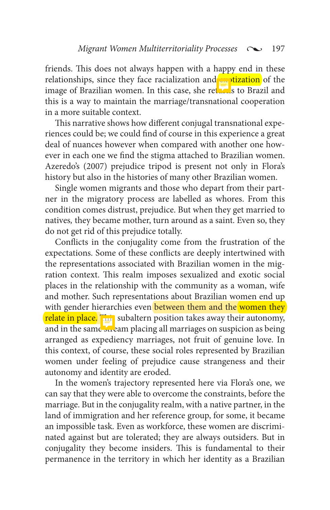friends. This does not always happen with a happy end in these relationships, since they face racialization and  $\Box$  tization of the image of Brazilian women. In this case, she returns to Brazil and this is a way to maintain the marriage/transnational cooperation in a more suitable context.

This narrative shows how different conjugal transnational experiences could be; we could find of course in this experience a great deal of nuances however when compared with another one however in each one we find the stigma attached to Brazilian women. Azeredo's (2007) prejudice tripod is present not only in Flora's history but also in the histories of many other Brazilian women.

Single women migrants and those who depart from their partner in the migratory process are labelled as whores. From this condition comes distrust, prejudice. But when they get married to natives*,* they became mother, turn around as a saint. Even so, they do not get rid of this prejudice totally.

Conflicts in the conjugality come from the frustration of the expectations. Some of these conflicts are deeply intertwined with the representations associated with Brazilian women in the migration context. This realm imposes sexualized and exotic social places in the relationship with the community as a woman, wife and mother. Such representations about Brazilian women end up with gender hierarchies even between them and the women they relate in place. This subaltern position takes away their autonomy, and in the same stream placing all marriages on suspicion as being arranged as expediency marriages, not fruit of genuine love. In this context, of course, these social roles represented by Brazilian women under feeling of prejudice cause strangeness and their autonomy and identity are eroded.

In the women's trajectory represented here via Flora's one, we can say that they were able to overcome the constraints, before the marriage. But in the conjugality realm, with a native partner, in the land of immigration and her reference group, for some, it became an impossible task. Even as workforce, these women are discriminated against but are tolerated; they are always outsiders. But in conjugality they become insiders. This is fundamental to their permanence in the territory in which her identity as a Brazilian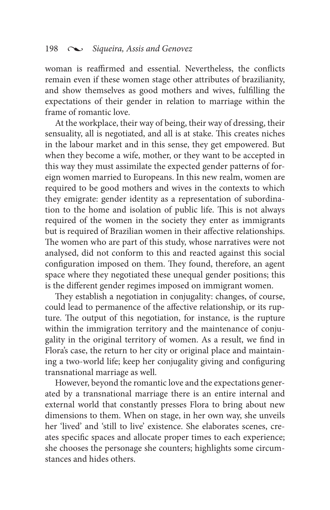woman is reaffirmed and essential. Nevertheless, the conflicts remain even if these women stage other attributes of brazilianity, and show themselves as good mothers and wives, fulfilling the expectations of their gender in relation to marriage within the frame of romantic love.

At the workplace, their way of being, their way of dressing, their sensuality, all is negotiated, and all is at stake. This creates niches in the labour market and in this sense, they get empowered. But when they become a wife, mother, or they want to be accepted in this way they must assimilate the expected gender patterns of foreign women married to Europeans. In this new realm, women are required to be good mothers and wives in the contexts to which they emigrate: gender identity as a representation of subordination to the home and isolation of public life. This is not always required of the women in the society they enter as immigrants but is required of Brazilian women in their affective relationships. The women who are part of this study, whose narratives were not analysed, did not conform to this and reacted against this social configuration imposed on them. They found, therefore, an agent space where they negotiated these unequal gender positions; this is the different gender regimes imposed on immigrant women.

They establish a negotiation in conjugality: changes, of course, could lead to permanence of the affective relationship, or its rupture. The output of this negotiation, for instance, is the rupture within the immigration territory and the maintenance of conjugality in the original territory of women. As a result, we find in Flora's case, the return to her city or original place and maintaining a two-world life; keep her conjugality giving and configuring transnational marriage as well.

However, beyond the romantic love and the expectations generated by a transnational marriage there is an entire internal and external world that constantly presses Flora to bring about new dimensions to them. When on stage, in her own way, she unveils her 'lived' and 'still to live' existence. She elaborates scenes, creates specific spaces and allocate proper times to each experience; she chooses the personage she counters; highlights some circumstances and hides others.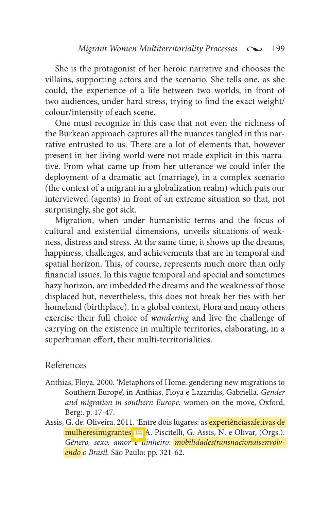She is the protagonist of her heroic narrative and chooses the villains, supporting actors and the scenario. She tells one, as she could, the experience of a life between two worlds, in front of two audiences, under hard stress, trying to find the exact weight/ colour/intensity of each scene.

One must recognize in this case that not even the richness of the Burkean approach captures all the nuances tangled in this narrative entrusted to us. There are a lot of elements that, however present in her living world were not made explicit in this narrative. From what came up from her utterance we could infer the deployment of a dramatic act (marriage), in a complex scenario (the context of a migrant in a globalization realm) which puts our interviewed (agents) in front of an extreme situation so that, not surprisingly, she got sick.

Migration, when under humanistic terms and the focus of cultural and existential dimensions, unveils situations of weakness, distress and stress. At the same time, it shows up the dreams, happiness, challenges, and achievements that are in temporal and spatial horizon. This, of course, represents much more than only financial issues. In this vague temporal and special and sometimes hazy horizon, are imbedded the dreams and the weakness of those displaced but, nevertheless, this does not break her ties with her homeland (birthplace). In a global context, Flora and many others exercise their full choice of *wandering* and live the challenge of carrying on the existence in multiple territories, elaborating, in a superhuman effort, their multi-territorialities.

#### References

- Anthias, Floya. 2000. 'Metaphors of Home: gendering new migrations to Southern Europe', in Anthias, Floya e Lazaridis, Gabriella*. Gender and migration in southern Europe:* women on the move, Oxford, Berg:. p. 17-47.
- Assis, G. de. Oliveira. 2011. 'Entre dois lugares: as *experiênciasafetivas de* mulheresimigrantes<sup>t</sup> in A. Piscitelli, G. Assis, N. e Olivar, (Orgs.). *Gênero, sexo, amor e dinheiro*: *mobilidadestransnacionaisenvolvendo o Brasil.* São Paulo: pp. 321-62.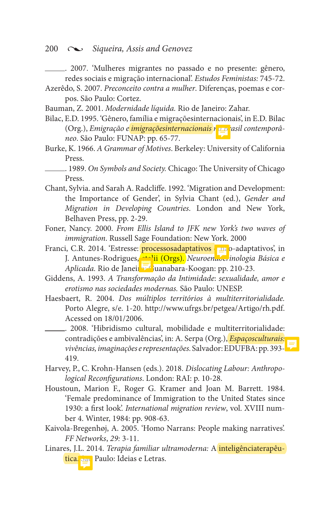200 • *Siqueira, Assis and Genovez*

. 2007. 'Mulheres migrantes no passado e no presente: gênero, redes sociais e migração internacional'. *Estudos Feministas:* 745-72.

Azerêdo, S. 2007. *Preconceito contra a mulher*. Diferenças, poemas e corpos. São Paulo: Cortez.

Bauman, Z. 2001. *Modernidade líquida.* Rio de Janeiro: Zahar.

Bilac, E.D. 1995. 'Gênero, família e migraçõesinternacionais', in E.D. Bilac (Org.), *Emigração e imigraçõesinternacionais r*o Brasil contemporâ*neo*. São Paulo: FUNAP: pp. 65-77.

Burke, K. 1966. *A Grammar of Motives*. Berkeley: University of California Press.

. 1989. *On Symbols and Society.* Chicago: The University of Chicago Press.

Chant, Sylvia. and Sarah A. Radcliffe. 1992. 'Migration and Development: the Importance of Gender', in Sylvia Chant (ed.), *Gender and Migration in Developing Countries*. London and New York, Belhaven Press, pp. 2-29.

Foner, Nancy. 2000. *From Ellis Island to JFK new York's two waves of immigration*. Russell Sage Foundation: New York. 2000

Franci, C.R. 2014. 'Estresse: **processosadaptativos** e na o-adaptativos', in J. Antunes-Rodrigues, etalii (Orgs). *Neuroendocrinologia Básica e* Aplicada. Rio de Janeiro: Guanabara-Koogan: pp. 210-23.

Giddens, A. 1993. *A Transformação da Intimidade*: *sexualidade, amor e erotismo nas sociedades modernas.* São Paulo: UNESP.

Haesbaert, R. 2004. *Dos múltiplos territórios à multiterritorialidade.* Porto Alegre, s/e. 1-20. http://www.ufrgs.br/petgea/Artigo/rh.pdf. Acessed on 18/01/2006.

. 2008. 'Hibridismo cultural, mobilidade e multiterritorialidade: contradições e ambivalências', in: A. Serpa (Org.), *Espaçosculturais: vivências, imaginações e representações.* Salvador: EDUFBA: pp. 393- 419.

Harvey, P., C. Krohn-Hansen (eds.). 2018. *Dislocating Labour: Anthropological Reconfigurations*. London: RAI: p. 10-28.

Houstoun, Marion F., Roger G. Kramer and Joan M. Barrett. 1984. 'Female predominance of Immigration to the United States since 1930: a first look'. *International migration review*, vol. XVIII number 4. Winter, 1984: pp. 908-63.

Kaivola-Bregenhøj, A. 2005. 'Homo Narrans: People making narratives'. *FF Networks*, *29:* 3-11.

Linares, J.L. 2014. *Terapia familiar ultramoderna:* A inteligênciaterapêutica. São Paulo: Ideias e Letras.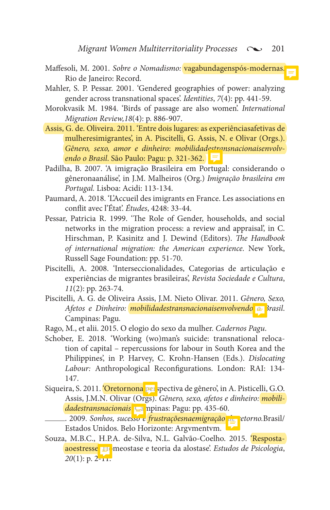- Maffesoli, M. 2001. *Sobre o Nomadismo:* vagabundagenspós-modernas. Rio de Janeiro: Record.
- Mahler, S. P. Pessar. 2001. 'Gendered geographies of power: analyzing gender across transnational spaces'. *Identities*, *7*(4): pp. 441-59.
- Morokvasik M. 1984. 'Birds of passage are also women'. *International Migration Review,18*(4): p. 886-907.
- Assis, G. de. Oliveira. 2011. 'Entre dois lugares: as experiênciasafetivas de mulheresimigrantes', in A. Piscitelli, G. Assis, N. e Olivar (Orgs.). *Gênero, sexo, amor e dinheiro*: *mobilidadestransnacionaisenvolvendo o Brasil*. São Paulo: Pagu: p. 321-362.
- Padilha, B. 2007. 'A imigração Brasileira em Portugal: considerando o gêneronaanálise', in J.M. Malheiros (Org.) *Imigração brasileira em Portugal.* Lisboa: Acidi: 113-134.
- Paumard, A. 2018. 'L'Accueil des imigrants en France. Les associations en conflit avec l'État'. *Études*, 4248: 33-44.
- Pessar, Patricia R. 1999. 'The Role of Gender, households, and social networks in the migration process: a review and appraisal', in C. Hirschman, P. Kasinitz and J. Dewind (Editors). *The Handbook of international migration: the American experience.* New York, Russell Sage Foundation: pp. 51-70.
- Piscitelli, A. 2008. 'Interseccionalidades, Categorias de articulação e experiências de migrantes brasileiras', *Revista Sociedade e Cultura*, *11*(2): pp. 263-74.
- Piscitelli, A. G. de Oliveira Assis, J.M. Nieto Olivar. 2011. *Gênero, Sexo,*  Afetos e Dinheiro: *mobilidadestransnacionaisenvolvendo* e Brasil. Campinas: Pagu.
- Rago, M., et alii. 2015. O elogio do sexo da mulher. *Cadernos Pagu*.
- Schober, E. 2018. 'Working (wo)man's suicide: transnational relocation of capital – repercussions for labour in South Korea and the Philippines', in P. Harvey, C. Krohn-Hansen (Eds.). *Dislocating Labour:* Anthropological Reconfigurations. London: RAI: 134- 147.
- Siqueira, S. 2011. 'Oretornona per spectiva de gênero', in A. Pisticelli, G.O. Assis, J.M.N. Olivar (Orgs). *Gênero, sexo, afetos e dinheiro: mobilidadestransnacionais*. ⊑a npinas: Pagu: pp. 435-60.
	- . 2009. *Sonhos, sucesso e frustraçõesnaemigração de retorno.*Brasil/ Estados Unidos. Belo Horizonte: Argymentym.
- Souza, M.B.C., H.P.A. de-Silva, N.L. Galvão-Coelho. 2015. 'Respostaaoestresse: Homeostase e teoria da alostase'. *Estudos de Psicologia*, *20*(1): p. 2-11.